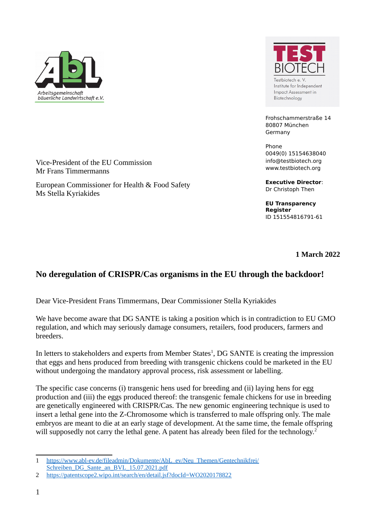

Mr Frans Timmermanns

Ms Stella Kyriakides

Vice-President of the EU Commission

European Commissioner for Health & Food Safety

Testbiotech e.V Institute for Independent Impact Assessment in Biotechnology

Frohschammerstraße 14 80807 München Germany

Phone 0049(0) 15154638040 info@testbiotech.org www.testbiotech.org

**Executive Director**: Dr Christoph Then

**EU Transparency Register**  ID 151554816791-61

**1 March 2022**

# **No deregulation of CRISPR/Cas organisms in the EU through the backdoor!**

Dear Vice-President Frans Timmermans, Dear Commissioner Stella Kyriakides

We have become aware that DG SANTE is taking a position which is in contradiction to EU GMO regulation, and which may seriously damage consumers, retailers, food producers, farmers and breeders.

In letters to stakeholders and experts from Member States<sup>[1](#page-0-0)</sup>, DG SANTE is creating the impression that eggs and hens produced from breeding with transgenic chickens could be marketed in the EU without undergoing the mandatory approval process, risk assessment or labelling.

The specific case concerns (i) transgenic hens used for breeding and (ii) laying hens for egg production and (iii) the eggs produced thereof: the transgenic female chickens for use in breeding are genetically engineered with CRISPR/Cas. The new genomic engineering technique is used to insert a lethal gene into the Z-Chromosome which is transferred to male offspring only. The male embryos are meant to die at an early stage of development. At the same time, the female offspring will supposedly not carry the lethal gene. A patent has already been filed for the technology.<sup>[2](#page-0-1)</sup>

<span id="page-0-0"></span><sup>1</sup> [https://www.abl-ev.de/fileadmin/Dokumente/AbL\\_ev/Neu\\_Themen/Gentechnikfrei/](https://www.abl-ev.de/fileadmin/Dokumente/AbL_ev/Neu_Themen/Gentechnikfrei/Schreiben_DG_Sante_an_BVL_15.07.2021.pdf) [Schreiben\\_DG\\_Sante\\_an\\_BVL\\_15.07.2021.pdf](https://www.abl-ev.de/fileadmin/Dokumente/AbL_ev/Neu_Themen/Gentechnikfrei/Schreiben_DG_Sante_an_BVL_15.07.2021.pdf) 

<span id="page-0-1"></span><sup>2</sup> <https://patentscope2.wipo.int/search/en/detail.jsf?docId=WO2020178822>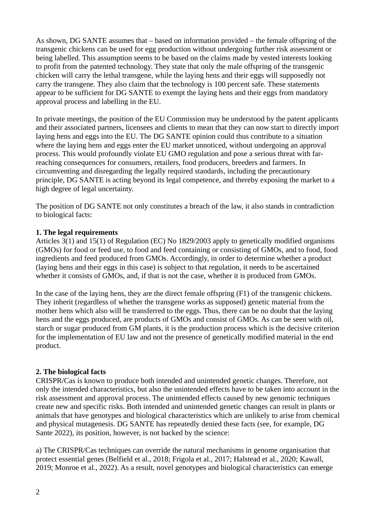As shown, DG SANTE assumes that – based on information provided – the female offspring of the transgenic chickens can be used for egg production without undergoing further risk assessment or being labelled. This assumption seems to be based on the claims made by vested interests looking to profit from the patented technology. They state that only the male offspring of the transgenic chicken will carry the lethal transgene, while the laying hens and their eggs will supposedly not carry the transgene. They also claim that the technology is 100 percent safe. These statements appear to be sufficient for DG SANTE to exempt the laying hens and their eggs from mandatory approval process and labelling in the EU.

In private meetings, the position of the EU Commission may be understood by the patent applicants and their associated partners, licensees and clients to mean that they can now start to directly import laying hens and eggs into the EU. The DG SANTE opinion could thus contribute to a situation where the laying hens and eggs enter the EU market unnoticed, without undergoing an approval process. This would profoundly violate EU GMO regulation and pose a serious threat with farreaching consequences for consumers, retailers, food producers, breeders and farmers. In circumventing and disregarding the legally required standards, including the precautionary principle, DG SANTE is acting beyond its legal competence, and thereby exposing the market to a high degree of legal uncertainty.

The position of DG SANTE not only constitutes a breach of the law, it also stands in contradiction to biological facts:

### **1. The legal requirements**

Articles 3(1) and 15(1) of Regulation (EC) No 1829/2003 apply to genetically modified organisms (GMOs) for food or feed use, to food and feed containing or consisting of GMOs, and to food, food ingredients and feed produced from GMOs. Accordingly, in order to determine whether a product (laying hens and their eggs in this case) is subject to that regulation, it needs to be ascertained whether it consists of GMOs, and, if that is not the case, whether it is produced from GMOs.

In the case of the laying hens, they are the direct female offspring (F1) of the transgenic chickens. They inherit (regardless of whether the transgene works as supposed) genetic material from the mother hens which also will be transferred to the eggs. Thus, there can be no doubt that the laying hens and the eggs produced, are products of GMOs and consist of GMOs. As can be seen with oil, starch or sugar produced from GM plants, it is the production process which is the decisive criterion for the implementation of EU law and not the presence of genetically modified material in the end product.

#### **2. The biological facts**

CRISPR/Cas is known to produce both intended and unintended genetic changes. Therefore, not only the intended characteristics, but also the unintended effects have to be taken into account in the risk assessment and approval process. The unintended effects caused by new genomic techniques create new and specific risks. Both intended and unintended genetic changes can result in plants or animals that have genotypes and biological characteristics which are unlikely to arise from chemical and physical mutagenesis. DG SANTE has repeatedly denied these facts (see, for example, DG Sante 2022), its position, however, is not backed by the science:

a) The CRISPR/Cas techniques can override the natural mechanisms in genome organisation that protect essential genes (Belfield et al., 2018; Frigola et al., 2017; Halstead et al., 2020; Kawall, 2019; Monroe et al., 2022). As a result, novel genotypes and biological characteristics can emerge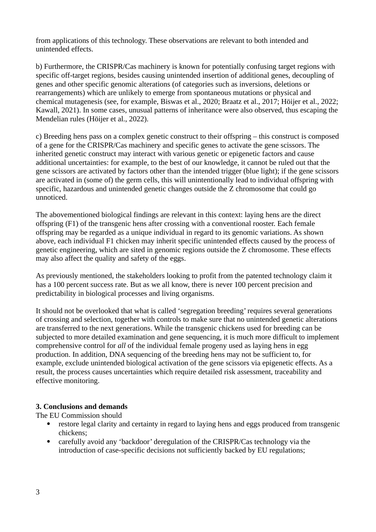from applications of this technology. These observations are relevant to both intended and unintended effects.

b) Furthermore, the CRISPR/Cas machinery is known for potentially confusing target regions with specific off-target regions, besides causing unintended insertion of additional genes, decoupling of genes and other specific genomic alterations (of categories such as inversions, deletions or rearrangements) which are unlikely to emerge from spontaneous mutations or physical and chemical mutagenesis (see, for example, Biswas et al., 2020; Braatz et al., 2017; Höijer et al., 2022; Kawall, 2021). In some cases, unusual patterns of inheritance were also observed, thus escaping the Mendelian rules (Höijer et al., 2022).

c) Breeding hens pass on a complex genetic construct to their offspring – this construct is composed of a gene for the CRISPR/Cas machinery and specific genes to activate the gene scissors. The inherited genetic construct may interact with various genetic or epigenetic factors and cause additional uncertainties: for example, to the best of our knowledge, it cannot be ruled out that the gene scissors are activated by factors other than the intended trigger (blue light); if the gene scissors are activated in (some of) the germ cells, this will unintentionally lead to individual offspring with specific, hazardous and unintended genetic changes outside the Z chromosome that could go unnoticed.

The abovementioned biological findings are relevant in this context: laying hens are the direct offspring (F1) of the transgenic hens after crossing with a conventional rooster. Each female offspring may be regarded as a unique individual in regard to its genomic variations. As shown above, each individual F1 chicken may inherit specific unintended effects caused by the process of genetic engineering, which are sited in genomic regions outside the Z chromosome. These effects may also affect the quality and safety of the eggs.

As previously mentioned, the stakeholders looking to profit from the patented technology claim it has a 100 percent success rate. But as we all know, there is never 100 percent precision and predictability in biological processes and living organisms.

It should not be overlooked that what is called 'segregation breeding' requires several generations of crossing and selection, together with controls to make sure that no unintended genetic alterations are transferred to the next generations. While the transgenic chickens used for breeding can be subjected to more detailed examination and gene sequencing, it is much more difficult to implement comprehensive control for *all* of the individual female progeny used as laying hens in egg production. In addition, DNA sequencing of the breeding hens may not be sufficient to, for example, exclude unintended biological activation of the gene scissors via epigenetic effects. As a result, the process causes uncertainties which require detailed risk assessment, traceability and effective monitoring.

## **3. Conclusions and demands**

The EU Commission should

- restore legal clarity and certainty in regard to laying hens and eggs produced from transgenic chickens;
- carefully avoid any 'backdoor' deregulation of the CRISPR/Cas technology via the introduction of case-specific decisions not sufficiently backed by EU regulations;